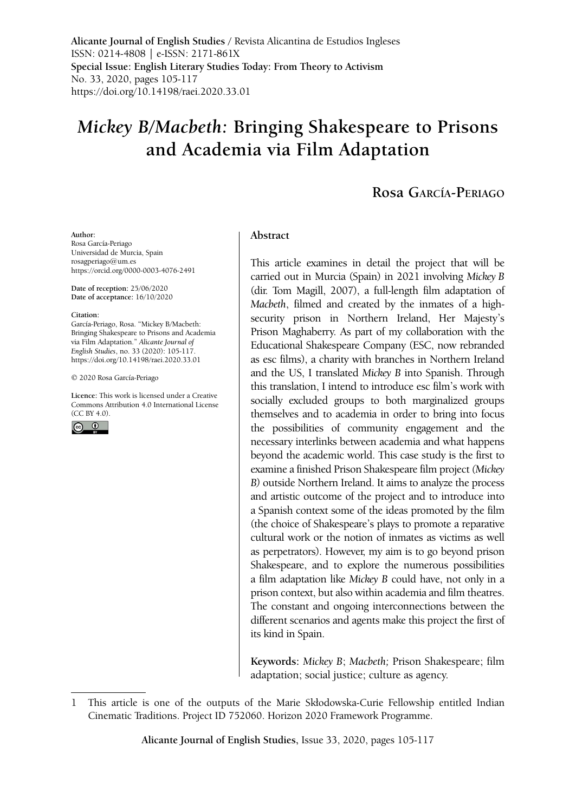**Alicante Journal of English Studies /** Revista Alicantina de Estudios Ingleses ISSN: 0214-4808 | e-ISSN: 2171-861X **Special Issue: English Literary Studies Today: From Theory to Activism** No. 33, 2020, pages 105-117 <https://doi.org/10.14198/raei.2020.33.01>

# *Mickey B/Macbeth:* **Bringing Shakespeare to Prisons and Academia via Film Adaptation**

# **Rosa García-Periago**

#### **Author:**

Rosa García-Periago Universidad de Murcia, Spain rosagperiago@um.es <https://orcid.org/0000-0003-4076-2491>

**Date of reception:** 25/06/2020 **Date of acceptance:** 16/10/2020

#### **Citation:**

García-Periago, Rosa. "Mickey B/Macbeth: Bringing Shakespeare to Prisons and Academia via Film Adaptation." *Alicante Journal of English Studies*, no. 33 (2020): 105-117. <https://doi.org/10.14198/raei.2020.33.01>

[© 2020 Rosa García-Periago](https://doi.org/10.14198/raei.2020.33.01)

**Licence:** [This work is licensed under a Creative](https://creativecommons.org/licenses/by/4.0/)  [Commons Attribution 4.0 International License](https://creativecommons.org/licenses/by/4.0/)  [\(CC BY 4.0\).](https://creativecommons.org/licenses/by/4.0/)



#### **Abstract**

This article examines in detail the project that will be carried out in Murcia (Spain) in 2021 involving *Mickey B* (dir. Tom Magill, 2007), a full-length film adaptation of *Macbeth*, filmed and created by the inmates of a highsecurity prison in Northern Ireland, Her Majesty's Prison Maghaberry. As part of my collaboration with the Educational Shakespeare Company (ESC, now rebranded as esc films), a charity with branches in Northern Ireland and the US, I translated *Mickey B* into Spanish. Through this translation, I intend to introduce esc film's work with socially excluded groups to both marginalized groups themselves and to academia in order to bring into focus the possibilities of community engagement and the necessary interlinks between academia and what happens beyond the academic world. This case study is the first to examine a finished Prison Shakespeare film project *(Mickey B)* outside Northern Ireland. It aims to analyze the process and artistic outcome of the project and to introduce into a Spanish context some of the ideas promoted by the film (the choice of Shakespeare's plays to promote a reparative cultural work or the notion of inmates as victims as well as perpetrators). However, my aim is to go beyond prison Shakespeare, and to explore the numerous possibilities a film adaptation like *Mickey B* could have, not only in a prison context, but also within academia and film theatres. The constant and ongoing interconnections between the different scenarios and agents make this project the first of its kind in Spain.

**Keywords:** *Mickey B*; *Macbeth;* Prison Shakespeare; film adaptation; social justice; culture as agency.

<sup>1</sup> This article is one of the outputs of the Marie Skłodowska-Curie Fellowship entitled Indian Cinematic Traditions. Project ID 752060. Horizon 2020 Framework Programme.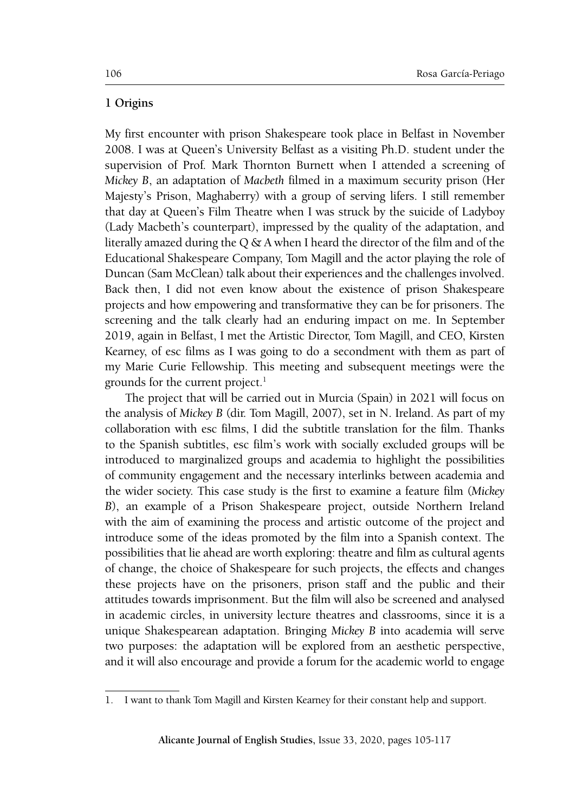#### **1 Origins**

My first encounter with prison Shakespeare took place in Belfast in November 2008. I was at Queen's University Belfast as a visiting Ph.D. student under the supervision of Prof. Mark Thornton Burnett when I attended a screening of *Mickey B*, an adaptation of *Macbeth* filmed in a maximum security prison (Her Majesty's Prison, Maghaberry) with a group of serving lifers. I still remember that day at Queen's Film Theatre when I was struck by the suicide of Ladyboy (Lady Macbeth's counterpart), impressed by the quality of the adaptation, and literally amazed during the Q & A when I heard the director of the film and of the Educational Shakespeare Company, Tom Magill and the actor playing the role of Duncan (Sam McClean) talk about their experiences and the challenges involved. Back then, I did not even know about the existence of prison Shakespeare projects and how empowering and transformative they can be for prisoners. The screening and the talk clearly had an enduring impact on me. In September 2019, again in Belfast, I met the Artistic Director, Tom Magill, and CEO, Kirsten Kearney, of esc films as I was going to do a secondment with them as part of my Marie Curie Fellowship. This meeting and subsequent meetings were the grounds for the current project.<sup>1</sup>

The project that will be carried out in Murcia (Spain) in 2021 will focus on the analysis of *Mickey B* (dir. Tom Magill, 2007), set in N. Ireland. As part of my collaboration with esc films, I did the subtitle translation for the film. Thanks to the Spanish subtitles, esc film's work with socially excluded groups will be introduced to marginalized groups and academia to highlight the possibilities of community engagement and the necessary interlinks between academia and the wider society. This case study is the first to examine a feature film (*Mickey B*), an example of a Prison Shakespeare project, outside Northern Ireland with the aim of examining the process and artistic outcome of the project and introduce some of the ideas promoted by the film into a Spanish context. The possibilities that lie ahead are worth exploring: theatre and film as cultural agents of change, the choice of Shakespeare for such projects, the effects and changes these projects have on the prisoners, prison staff and the public and their attitudes towards imprisonment. But the film will also be screened and analysed in academic circles, in university lecture theatres and classrooms, since it is a unique Shakespearean adaptation. Bringing *Mickey B* into academia will serve two purposes: the adaptation will be explored from an aesthetic perspective, and it will also encourage and provide a forum for the academic world to engage

<sup>1.</sup> I want to thank Tom Magill and Kirsten Kearney for their constant help and support.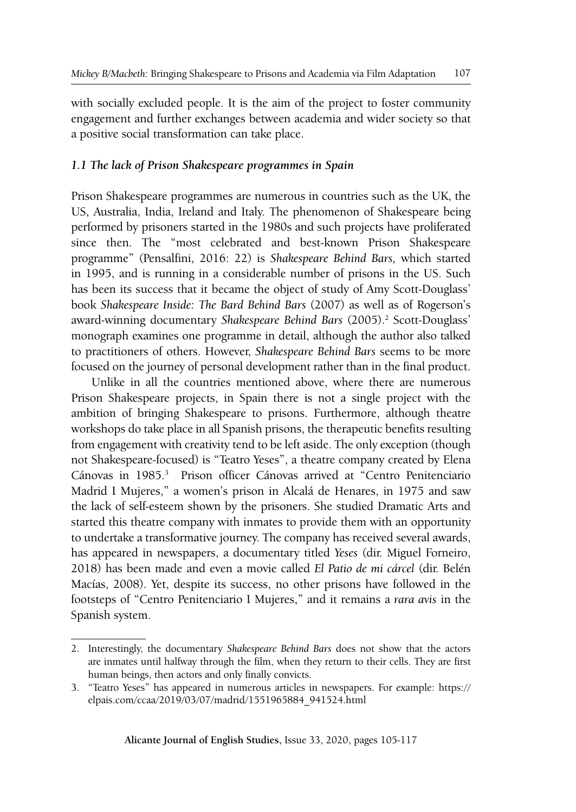with socially excluded people. It is the aim of the project to foster community engagement and further exchanges between academia and wider society so that a positive social transformation can take place.

# *1.1 The lack of Prison Shakespeare programmes in Spain*

Prison Shakespeare programmes are numerous in countries such as the UK, the US, Australia, India, Ireland and Italy. The phenomenon of Shakespeare being performed by prisoners started in the 1980s and such projects have proliferated since then. The "most celebrated and best-known Prison Shakespeare programme" (Pensalfini, 2016: 22) is *Shakespeare Behind Bars,* which started in 1995, and is running in a considerable number of prisons in the US. Such has been its success that it became the object of study of Amy Scott-Douglass' book *Shakespeare Inside: The Bard Behind Bars* (2007) as well as of Rogerson's award-winning documentary Shakespeare Behind Bars (2005).<sup>2</sup> Scott-Douglass' monograph examines one programme in detail, although the author also talked to practitioners of others. However, *Shakespeare Behind Bars* seems to be more focused on the journey of personal development rather than in the final product.

Unlike in all the countries mentioned above, where there are numerous Prison Shakespeare projects, in Spain there is not a single project with the ambition of bringing Shakespeare to prisons. Furthermore, although theatre workshops do take place in all Spanish prisons, the therapeutic benefits resulting from engagement with creativity tend to be left aside. The only exception (though not Shakespeare-focused) is "Teatro Yeses", a theatre company created by Elena Cánovas in 1985.<sup>3</sup> Prison officer Cánovas arrived at "Centro Penitenciario Madrid I Mujeres," a women's prison in Alcalá de Henares, in 1975 and saw the lack of self-esteem shown by the prisoners. She studied Dramatic Arts and started this theatre company with inmates to provide them with an opportunity to undertake a transformative journey. The company has received several awards, has appeared in newspapers, a documentary titled *Yeses* (dir. Miguel Forneiro, 2018) has been made and even a movie called *El Patio de mi cárcel* (dir. Belén Macías, 2008). Yet, despite its success, no other prisons have followed in the footsteps of "Centro Penitenciario I Mujeres," and it remains a *rara avis* in the Spanish system.

<sup>2.</sup> Interestingly, the documentary *Shakespeare Behind Bars* does not show that the actors are inmates until halfway through the film, when they return to their cells. They are first human beings, then actors and only finally convicts.

<sup>3.</sup> "Teatro Yeses" has appeared in numerous articles in newspapers. For example: [https://](https://elpais.com/ccaa/2019/03/07/madrid/1551965884_941524.html) [elpais.com/ccaa/2019/03/07/madrid/1551965884\\_941524.html](https://elpais.com/ccaa/2019/03/07/madrid/1551965884_941524.html)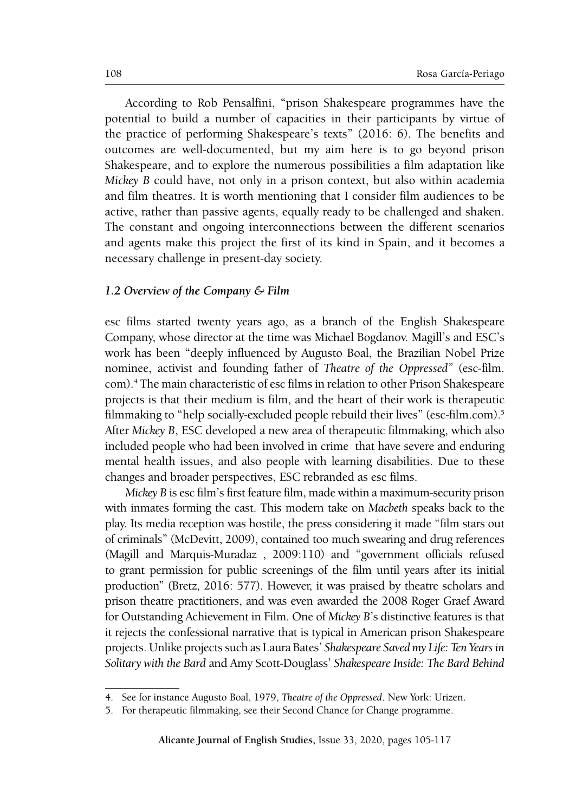According to Rob Pensalfini, "prison Shakespeare programmes have the potential to build a number of capacities in their participants by virtue of the practice of performing Shakespeare's texts" (2016: 6). The benefits and outcomes are well-documented, but my aim here is to go beyond prison Shakespeare, and to explore the numerous possibilities a film adaptation like *Mickey B* could have, not only in a prison context, but also within academia and film theatres. It is worth mentioning that I consider film audiences to be active, rather than passive agents, equally ready to be challenged and shaken. The constant and ongoing interconnections between the different scenarios and agents make this project the first of its kind in Spain, and it becomes a necessary challenge in present-day society.

#### *1.2 Overview of the Company & Film*

esc films started twenty years ago, as a branch of the English Shakespeare Company, whose director at the time was Michael Bogdanov. Magill's and ESC's work has been "deeply influenced by Augusto Boal, the Brazilian Nobel Prize nominee, activist and founding father of *Theatre of the Oppressed"* (esc-film. com).4 The main characteristic of esc films in relation to other Prison Shakespeare projects is that their medium is film, and the heart of their work is therapeutic filmmaking to "help socially-excluded people rebuild their lives" (esc-film.com).5 After *Mickey B*, ESC developed a new area of therapeutic filmmaking, which also included people who had been involved in crime that have severe and enduring mental health issues, and also people with learning disabilities. Due to these changes and broader perspectives, ESC rebranded as esc films.

*Mickey B* is esc film's first feature film, made within a maximum-security prison with inmates forming the cast. This modern take on *Macbeth* speaks back to the play. Its media reception was hostile, the press considering it made "film stars out of criminals" (McDevitt, 2009), contained too much swearing and drug references (Magill and Marquis-Muradaz , 2009:110) and "government officials refused to grant permission for public screenings of the film until years after its initial production" (Bretz, 2016: 577). However, it was praised by theatre scholars and prison theatre practitioners, and was even awarded the 2008 Roger Graef Award for Outstanding Achievement in Film. One of *Mickey B*'s distinctive features is that it rejects the confessional narrative that is typical in American prison Shakespeare projects. Unlike projects such as Laura Bates' *Shakespeare Saved my Life: Ten Years in Solitary with the Bard* and Amy Scott-Douglass' *Shakespeare Inside: The Bard Behind* 

<sup>4.</sup> See for instance Augusto Boal, 1979, *Theatre of the Oppressed*. New York: Urizen.

<sup>5.</sup> For therapeutic filmmaking, see their Second Chance for Change programme.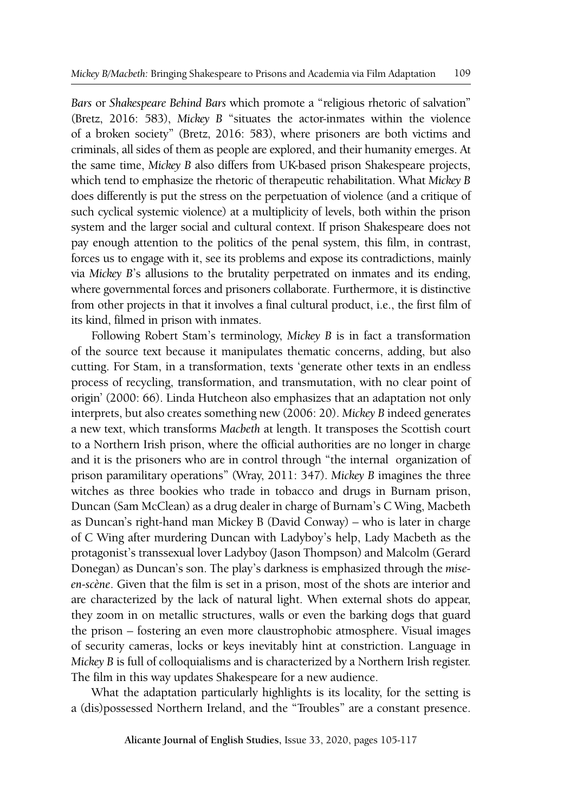*Bars* or *Shakespeare Behind Bars* which promote a "religious rhetoric of salvation" (Bretz, 2016: 583), *Mickey B* "situates the actor-inmates within the violence of a broken society" (Bretz, 2016: 583), where prisoners are both victims and criminals, all sides of them as people are explored, and their humanity emerges. At the same time, *Mickey B* also differs from UK-based prison Shakespeare projects, which tend to emphasize the rhetoric of therapeutic rehabilitation. What *Mickey B*  does differently is put the stress on the perpetuation of violence (and a critique of such cyclical systemic violence) at a multiplicity of levels, both within the prison system and the larger social and cultural context. If prison Shakespeare does not pay enough attention to the politics of the penal system, this film, in contrast, forces us to engage with it, see its problems and expose its contradictions, mainly via *Mickey B*'s allusions to the brutality perpetrated on inmates and its ending, where governmental forces and prisoners collaborate. Furthermore, it is distinctive from other projects in that it involves a final cultural product, i.e., the first film of its kind, filmed in prison with inmates.

Following Robert Stam's terminology, *Mickey B* is in fact a transformation of the source text because it manipulates thematic concerns, adding, but also cutting. For Stam, in a transformation, texts 'generate other texts in an endless process of recycling, transformation, and transmutation, with no clear point of origin' (2000: 66). Linda Hutcheon also emphasizes that an adaptation not only interprets, but also creates something new (2006: 20). *Mickey B* indeed generates a new text, which transforms *Macbeth* at length. It transposes the Scottish court to a Northern Irish prison, where the official authorities are no longer in charge and it is the prisoners who are in control through "the internal organization of prison paramilitary operations" (Wray, 2011: 347). *Mickey B* imagines the three witches as three bookies who trade in tobacco and drugs in Burnam prison, Duncan (Sam McClean) as a drug dealer in charge of Burnam's C Wing, Macbeth as Duncan's right-hand man Mickey B (David Conway) – who is later in charge of C Wing after murdering Duncan with Ladyboy's help, Lady Macbeth as the protagonist's transsexual lover Ladyboy (Jason Thompson) and Malcolm (Gerard Donegan) as Duncan's son. The play's darkness is emphasized through the *miseen-scène*. Given that the film is set in a prison, most of the shots are interior and are characterized by the lack of natural light. When external shots do appear, they zoom in on metallic structures, walls or even the barking dogs that guard the prison – fostering an even more claustrophobic atmosphere. Visual images of security cameras, locks or keys inevitably hint at constriction. Language in *Mickey B* is full of colloquialisms and is characterized by a Northern Irish register. The film in this way updates Shakespeare for a new audience.

What the adaptation particularly highlights is its locality, for the setting is a (dis)possessed Northern Ireland, and the "Troubles" are a constant presence.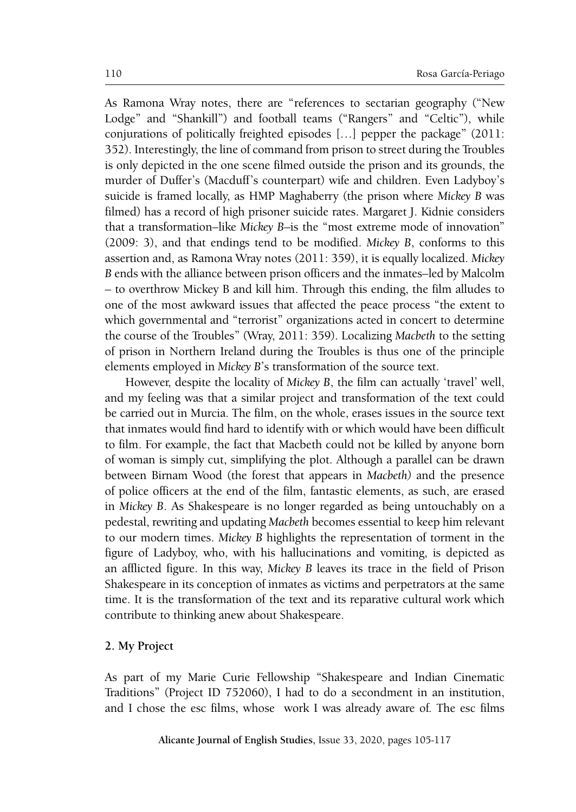As Ramona Wray notes, there are "references to sectarian geography ("New Lodge" and "Shankill") and football teams ("Rangers" and "Celtic"), while conjurations of politically freighted episodes […] pepper the package" (2011: 352). Interestingly, the line of command from prison to street during the Troubles is only depicted in the one scene filmed outside the prison and its grounds, the murder of Duffer's (Macduff's counterpart) wife and children. Even Ladyboy's suicide is framed locally, as HMP Maghaberry (the prison where *Mickey B* was filmed) has a record of high prisoner suicide rates. Margaret J. Kidnie considers that a transformation–like *Mickey B*–is the "most extreme mode of innovation" (2009: 3), and that endings tend to be modified. *Mickey B*, conforms to this assertion and, as Ramona Wray notes (2011: 359), it is equally localized. *Mickey B* ends with the alliance between prison officers and the inmates–led by Malcolm – to overthrow Mickey B and kill him. Through this ending, the film alludes to one of the most awkward issues that affected the peace process "the extent to which governmental and "terrorist" organizations acted in concert to determine the course of the Troubles" (Wray, 2011: 359). Localizing *Macbeth* to the setting of prison in Northern Ireland during the Troubles is thus one of the principle elements employed in *Mickey B*'s transformation of the source text.

However, despite the locality of *Mickey B*, the film can actually 'travel' well, and my feeling was that a similar project and transformation of the text could be carried out in Murcia. The film, on the whole, erases issues in the source text that inmates would find hard to identify with or which would have been difficult to film. For example, the fact that Macbeth could not be killed by anyone born of woman is simply cut, simplifying the plot. Although a parallel can be drawn between Birnam Wood (the forest that appears in *Macbeth)* and the presence of police officers at the end of the film, fantastic elements, as such, are erased in *Mickey B*. As Shakespeare is no longer regarded as being untouchably on a pedestal, rewriting and updating *Macbeth* becomes essential to keep him relevant to our modern times. *Mickey B* highlights the representation of torment in the figure of Ladyboy, who, with his hallucinations and vomiting, is depicted as an afflicted figure. In this way, *Mickey B* leaves its trace in the field of Prison Shakespeare in its conception of inmates as victims and perpetrators at the same time. It is the transformation of the text and its reparative cultural work which contribute to thinking anew about Shakespeare.

#### **2. My Project**

As part of my Marie Curie Fellowship "Shakespeare and Indian Cinematic Traditions" (Project ID 752060), I had to do a secondment in an institution, and I chose the esc films, whose work I was already aware of. The esc films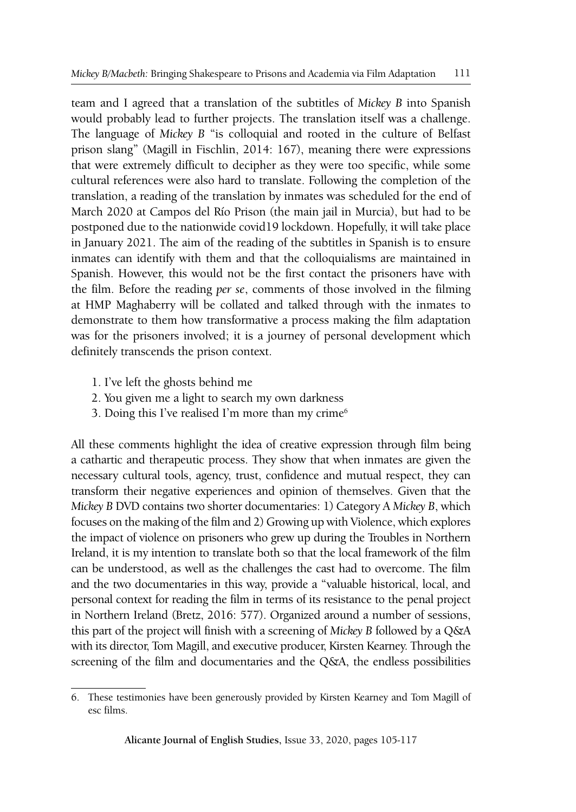team and I agreed that a translation of the subtitles of *Mickey B* into Spanish would probably lead to further projects. The translation itself was a challenge. The language of *Mickey B* "is colloquial and rooted in the culture of Belfast prison slang" (Magill in Fischlin, 2014: 167), meaning there were expressions that were extremely difficult to decipher as they were too specific, while some cultural references were also hard to translate. Following the completion of the translation, a reading of the translation by inmates was scheduled for the end of March 2020 at Campos del Río Prison (the main jail in Murcia), but had to be postponed due to the nationwide covid19 lockdown. Hopefully, it will take place in January 2021. The aim of the reading of the subtitles in Spanish is to ensure inmates can identify with them and that the colloquialisms are maintained in Spanish. However, this would not be the first contact the prisoners have with the film. Before the reading *per se*, comments of those involved in the filming at HMP Maghaberry will be collated and talked through with the inmates to demonstrate to them how transformative a process making the film adaptation was for the prisoners involved; it is a journey of personal development which definitely transcends the prison context.

- 1. I've left the ghosts behind me
- 2. You given me a light to search my own darkness
- 3. Doing this I've realised I'm more than my crime $<sup>6</sup>$ </sup>

All these comments highlight the idea of creative expression through film being a cathartic and therapeutic process. They show that when inmates are given the necessary cultural tools, agency, trust, confidence and mutual respect, they can transform their negative experiences and opinion of themselves. Given that the *Mickey B* DVD contains two shorter documentaries: 1) Category A *Mickey B*, which focuses on the making of the film and 2) Growing up with Violence, which explores the impact of violence on prisoners who grew up during the Troubles in Northern Ireland, it is my intention to translate both so that the local framework of the film can be understood, as well as the challenges the cast had to overcome. The film and the two documentaries in this way, provide a "valuable historical, local, and personal context for reading the film in terms of its resistance to the penal project in Northern Ireland (Bretz, 2016: 577). Organized around a number of sessions, this part of the project will finish with a screening of *Mickey B* followed by a Q&A with its director, Tom Magill, and executive producer, Kirsten Kearney. Through the screening of the film and documentaries and the Q&A, the endless possibilities

<sup>6.</sup> These testimonies have been generously provided by Kirsten Kearney and Tom Magill of esc films.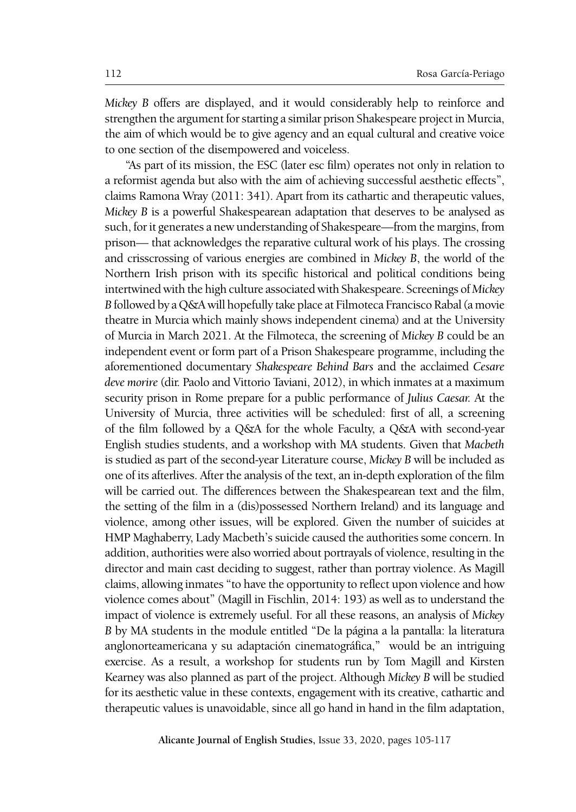*Mickey B* offers are displayed, and it would considerably help to reinforce and strengthen the argument for starting a similar prison Shakespeare project in Murcia, the aim of which would be to give agency and an equal cultural and creative voice to one section of the disempowered and voiceless.

"As part of its mission, the ESC (later esc film) operates not only in relation to a reformist agenda but also with the aim of achieving successful aesthetic effects", claims Ramona Wray (2011: 341). Apart from its cathartic and therapeutic values, *Mickey B* is a powerful Shakespearean adaptation that deserves to be analysed as such, for it generates a new understanding of Shakespeare—from the margins, from prison— that acknowledges the reparative cultural work of his plays. The crossing and crisscrossing of various energies are combined in *Mickey B*, the world of the Northern Irish prison with its specific historical and political conditions being intertwined with the high culture associated with Shakespeare. Screenings of *Mickey B* followed by a Q&A will hopefully take place at Filmoteca Francisco Rabal (a movie theatre in Murcia which mainly shows independent cinema) and at the University of Murcia in March 2021. At the Filmoteca, the screening of *Mickey B* could be an independent event or form part of a Prison Shakespeare programme, including the aforementioned documentary *Shakespeare Behind Bars* and the acclaimed *Cesare deve morire* (dir. Paolo and Vittorio Taviani, 2012), in which inmates at a maximum security prison in Rome prepare for a public performance of *Julius Caesar.* At the University of Murcia, three activities will be scheduled: first of all, a screening of the film followed by a Q&A for the whole Faculty, a Q&A with second-year English studies students, and a workshop with MA students. Given that *Macbeth*  is studied as part of the second-year Literature course, *Mickey B* will be included as one of its afterlives. After the analysis of the text, an in-depth exploration of the film will be carried out. The differences between the Shakespearean text and the film, the setting of the film in a (dis)possessed Northern Ireland) and its language and violence, among other issues, will be explored. Given the number of suicides at HMP Maghaberry, Lady Macbeth's suicide caused the authorities some concern. In addition, authorities were also worried about portrayals of violence, resulting in the director and main cast deciding to suggest, rather than portray violence. As Magill claims, allowing inmates "to have the opportunity to reflect upon violence and how violence comes about" (Magill in Fischlin, 2014: 193) as well as to understand the impact of violence is extremely useful. For all these reasons, an analysis of *Mickey B* by MA students in the module entitled "De la página a la pantalla: la literatura anglonorteamericana y su adaptación cinematográfica," would be an intriguing exercise. As a result, a workshop for students run by Tom Magill and Kirsten Kearney was also planned as part of the project. Although *Mickey B* will be studied for its aesthetic value in these contexts, engagement with its creative, cathartic and therapeutic values is unavoidable, since all go hand in hand in the film adaptation,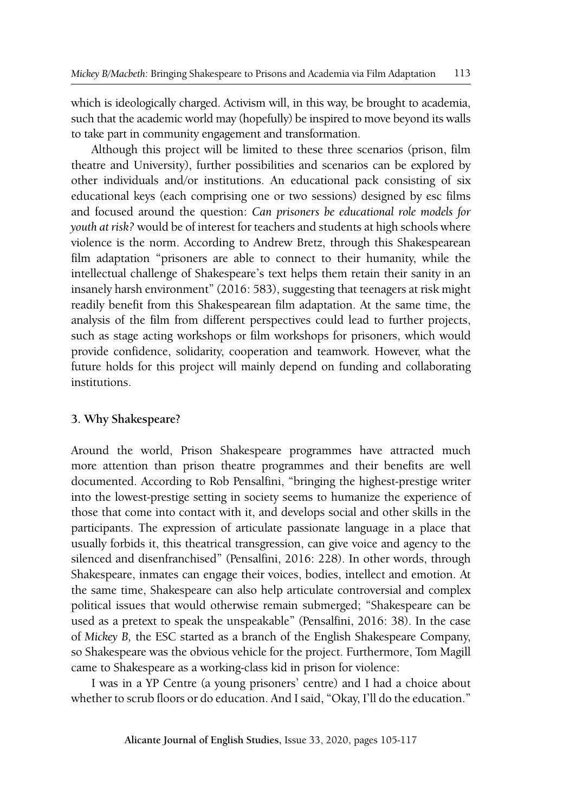which is ideologically charged. Activism will, in this way, be brought to academia, such that the academic world may (hopefully) be inspired to move beyond its walls to take part in community engagement and transformation.

Although this project will be limited to these three scenarios (prison, film theatre and University), further possibilities and scenarios can be explored by other individuals and/or institutions. An educational pack consisting of six educational keys (each comprising one or two sessions) designed by esc films and focused around the question: *Can prisoners be educational role models for youth at risk?* would be of interest for teachers and students at high schools where violence is the norm. According to Andrew Bretz, through this Shakespearean film adaptation "prisoners are able to connect to their humanity, while the intellectual challenge of Shakespeare's text helps them retain their sanity in an insanely harsh environment" (2016: 583), suggesting that teenagers at risk might readily benefit from this Shakespearean film adaptation. At the same time, the analysis of the film from different perspectives could lead to further projects, such as stage acting workshops or film workshops for prisoners, which would provide confidence, solidarity, cooperation and teamwork. However, what the future holds for this project will mainly depend on funding and collaborating institutions.

## **3. Why Shakespeare?**

Around the world, Prison Shakespeare programmes have attracted much more attention than prison theatre programmes and their benefits are well documented. According to Rob Pensalfini, "bringing the highest-prestige writer into the lowest-prestige setting in society seems to humanize the experience of those that come into contact with it, and develops social and other skills in the participants. The expression of articulate passionate language in a place that usually forbids it, this theatrical transgression, can give voice and agency to the silenced and disenfranchised" (Pensalfini, 2016: 228). In other words, through Shakespeare, inmates can engage their voices, bodies, intellect and emotion. At the same time, Shakespeare can also help articulate controversial and complex political issues that would otherwise remain submerged; "Shakespeare can be used as a pretext to speak the unspeakable" (Pensalfini, 2016: 38). In the case of *Mickey B,* the ESC started as a branch of the English Shakespeare Company, so Shakespeare was the obvious vehicle for the project. Furthermore, Tom Magill came to Shakespeare as a working-class kid in prison for violence:

I was in a YP Centre (a young prisoners' centre) and I had a choice about whether to scrub floors or do education. And I said, "Okay, I'll do the education."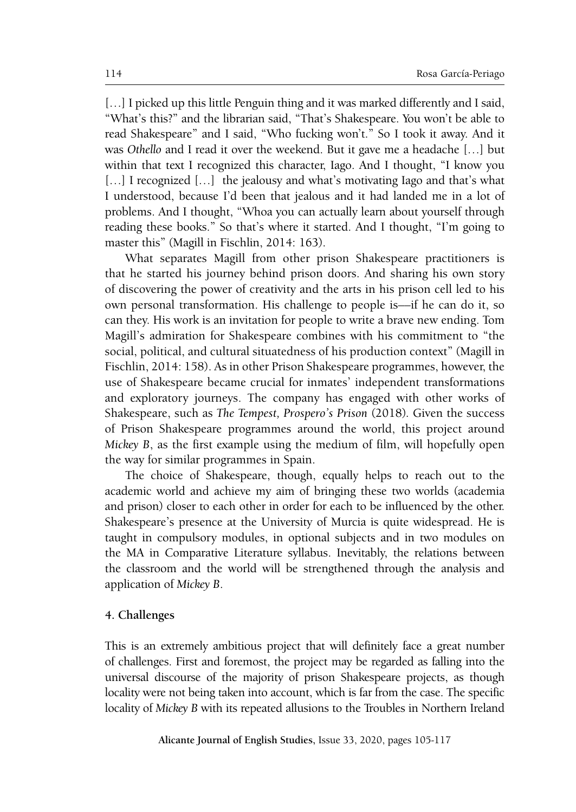[...] I picked up this little Penguin thing and it was marked differently and I said, "What's this?" and the librarian said, "That's Shakespeare. You won't be able to read Shakespeare" and I said, "Who fucking won't." So I took it away. And it was *Othello* and I read it over the weekend. But it gave me a headache […] but within that text I recognized this character, Iago. And I thought, "I know you [...] I recognized [...] the jealousy and what's motivating Iago and that's what I understood, because I'd been that jealous and it had landed me in a lot of problems. And I thought, "Whoa you can actually learn about yourself through reading these books." So that's where it started. And I thought, "I'm going to master this" (Magill in Fischlin, 2014: 163).

What separates Magill from other prison Shakespeare practitioners is that he started his journey behind prison doors. And sharing his own story of discovering the power of creativity and the arts in his prison cell led to his own personal transformation. His challenge to people is––if he can do it, so can they. His work is an invitation for people to write a brave new ending. Tom Magill's admiration for Shakespeare combines with his commitment to "the social, political, and cultural situatedness of his production context" (Magill in Fischlin, 2014: 158). As in other Prison Shakespeare programmes, however, the use of Shakespeare became crucial for inmates' independent transformations and exploratory journeys. The company has engaged with other works of Shakespeare, such as *The Tempest, Prospero's Prison* (2018)*.* Given the success of Prison Shakespeare programmes around the world, this project around *Mickey B*, as the first example using the medium of film, will hopefully open the way for similar programmes in Spain.

The choice of Shakespeare, though, equally helps to reach out to the academic world and achieve my aim of bringing these two worlds (academia and prison) closer to each other in order for each to be influenced by the other. Shakespeare's presence at the University of Murcia is quite widespread. He is taught in compulsory modules, in optional subjects and in two modules on the MA in Comparative Literature syllabus. Inevitably, the relations between the classroom and the world will be strengthened through the analysis and application of *Mickey B*.

#### **4. Challenges**

This is an extremely ambitious project that will definitely face a great number of challenges. First and foremost, the project may be regarded as falling into the universal discourse of the majority of prison Shakespeare projects, as though locality were not being taken into account, which is far from the case. The specific locality of *Mickey B* with its repeated allusions to the Troubles in Northern Ireland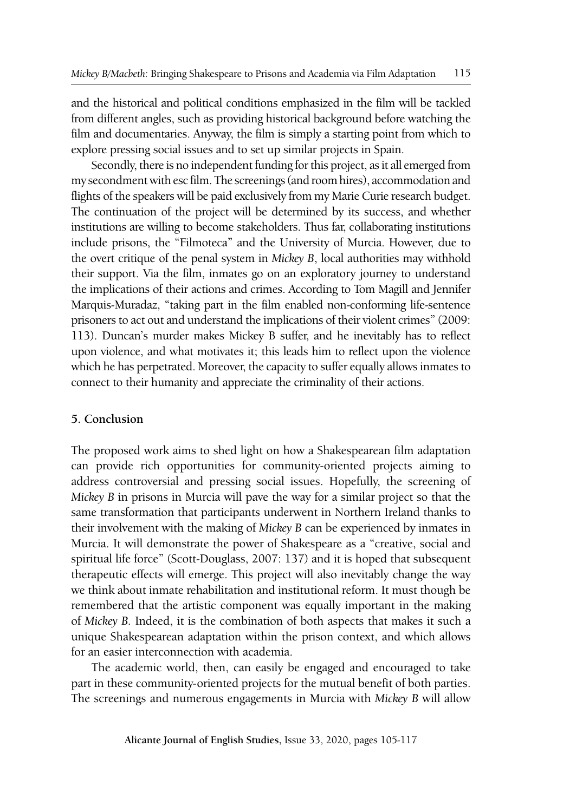and the historical and political conditions emphasized in the film will be tackled from different angles, such as providing historical background before watching the film and documentaries. Anyway, the film is simply a starting point from which to explore pressing social issues and to set up similar projects in Spain.

Secondly, there is no independent funding for this project, as it all emerged from my secondment with esc film. The screenings (and room hires), accommodation and flights of the speakers will be paid exclusively from my Marie Curie research budget. The continuation of the project will be determined by its success, and whether institutions are willing to become stakeholders. Thus far, collaborating institutions include prisons, the "Filmoteca" and the University of Murcia. However, due to the overt critique of the penal system in *Mickey B*, local authorities may withhold their support. Via the film, inmates go on an exploratory journey to understand the implications of their actions and crimes. According to Tom Magill and Jennifer Marquis-Muradaz, "taking part in the film enabled non-conforming life-sentence prisoners to act out and understand the implications of their violent crimes" (2009: 113). Duncan's murder makes Mickey B suffer, and he inevitably has to reflect upon violence, and what motivates it; this leads him to reflect upon the violence which he has perpetrated. Moreover, the capacity to suffer equally allows inmates to connect to their humanity and appreciate the criminality of their actions.

## **5. Conclusion**

The proposed work aims to shed light on how a Shakespearean film adaptation can provide rich opportunities for community-oriented projects aiming to address controversial and pressing social issues. Hopefully, the screening of *Mickey B* in prisons in Murcia will pave the way for a similar project so that the same transformation that participants underwent in Northern Ireland thanks to their involvement with the making of *Mickey B* can be experienced by inmates in Murcia. It will demonstrate the power of Shakespeare as a "creative, social and spiritual life force" (Scott-Douglass, 2007: 137) and it is hoped that subsequent therapeutic effects will emerge. This project will also inevitably change the way we think about inmate rehabilitation and institutional reform. It must though be remembered that the artistic component was equally important in the making of *Mickey B.* Indeed, it is the combination of both aspects that makes it such a unique Shakespearean adaptation within the prison context, and which allows for an easier interconnection with academia.

The academic world, then, can easily be engaged and encouraged to take part in these community-oriented projects for the mutual benefit of both parties. The screenings and numerous engagements in Murcia with *Mickey B* will allow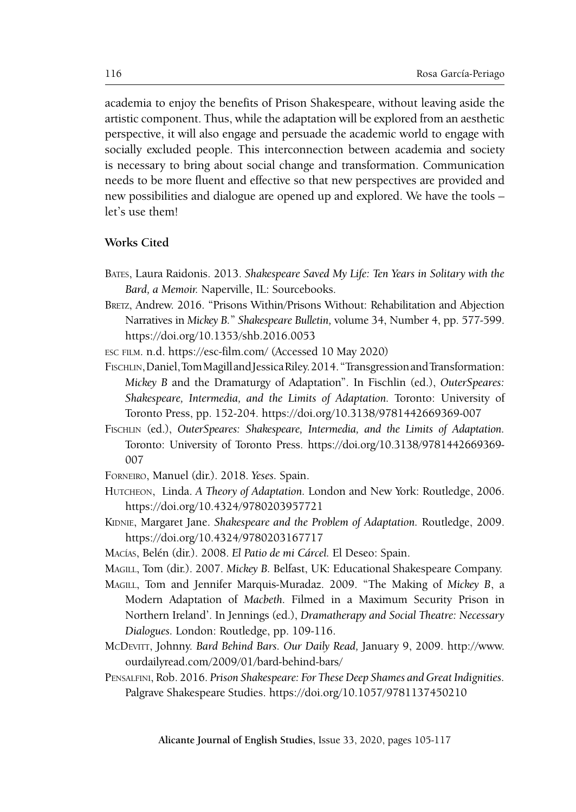academia to enjoy the benefits of Prison Shakespeare, without leaving aside the artistic component. Thus, while the adaptation will be explored from an aesthetic perspective, it will also engage and persuade the academic world to engage with socially excluded people. This interconnection between academia and society is necessary to bring about social change and transformation. Communication needs to be more fluent and effective so that new perspectives are provided and new possibilities and dialogue are opened up and explored. We have the tools – let's use them!

# **Works Cited**

- Bates, Laura Raidonis. 2013. *Shakespeare Saved My Life: Ten Years in Solitary with the Bard, a Memoir.* Naperville, IL: Sourcebooks.
- Bretz, Andrew. 2016. "Prisons Within/Prisons Without: Rehabilitation and Abjection Narratives in *Mickey B.*" *Shakespeare Bulletin,* volume 34, Number 4, pp. 577-599. https://doi.org/10.1353/shb.2016.0053
- esc film. n.d. <https://esc-film.com/>(Accessed 10 May 2020)
- FISCHLIN, Daniel, Tom Magill and Jessica Riley. 2014. "Transgression and Transformation: *Mickey B* and the Dramaturgy of Adaptation". In Fischlin (ed.), *OuterSpeares: Shakespeare, Intermedia, and the Limits of Adaptation.* Toronto: University of Toronto Press, pp. 152-204. https://doi.org/10.3138/9781442669369-007
- Fischlin (ed.), *OuterSpeares: Shakespeare, Intermedia, and the Limits of Adaptation.*  Toronto: University of Toronto Press. https://doi.org/10.3138/9781442669369- 007
- Forneiro, Manuel (dir.). 2018. *Yeses.* Spain.
- Hutcheon, Linda. *A Theory of Adaptation.* London and New York: Routledge, 2006. https://doi.org/10.4324/9780203957721
- KIDNIE, Margaret Jane. *Shakespeare and the Problem of Adaptation*. Routledge, 2009. https://doi.org/10.4324/9780203167717
- Macías, Belén (dir.). 2008. *El Patio de mi Cárcel.* El Deseo: Spain.
- Magill, Tom (dir.). 2007. *Mickey B.* Belfast, UK: Educational Shakespeare Company.
- Magill, Tom and Jennifer Marquis-Muradaz. 2009. "The Making of *Mickey B*, a Modern Adaptation of *Macbeth.* Filmed in a Maximum Security Prison in Northern Ireland'. In Jennings (ed.), *Dramatherapy and Social Theatre: Necessary Dialogues.* London: Routledge, pp. 109-116.
- McDevitt, Johnny. *Bard Behind Bars. Our Daily Read,* January 9, 2009. [http://www.](http://www.ourdailyread.com/2009/01/bard-behind-bars/) [ourdailyread.com/2009/01/bard-behind-bars/](http://www.ourdailyread.com/2009/01/bard-behind-bars/)
- PENSALFINI, Rob. 2016. *Prison Shakespeare: For These Deep Shames and Great Indignities.* Palgrave Shakespeare Studies. https://doi.org/10.1057/9781137450210